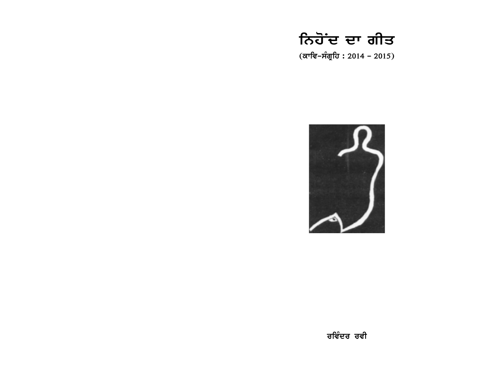# ਨਿਹੋਂਦ ਦਾ ਗੀਤ

(ਕਾਵਿ-ਸੰਗ੍ਰਹਿ : 2014 - 2015)

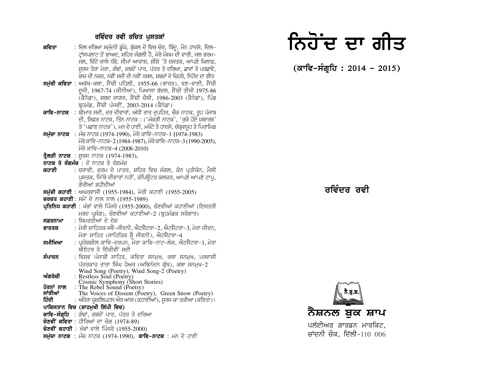#### ਰਵਿੰਦਰ ਰਵੀ ਰਚਿਤ ਪਸਤਕਾਂ

- : ਦਿਲ ਦਰਿਆ ਸਮੰਦਰੋਂ ਡੰਘੇ, ਬੱਕਲ ਦੇ ਵਿਚ ਚੋਰ, ਬਿੰਦ, ਮੌਨ ਹਾਦਸੇ, ਦਿਲ– ਕਵਿਤਾ ਟਾਂਸਪਲਾਟ ਤੋਂ ਬਾਅਦ. ਸ਼ਹਿਰ ਜੰਗਲੀ ਹੈ. ਮੇਰੇ ਮੌਸਮ ਦੀ ਵਾਰੀ. ਜਲ ਭਰਮ-ਜਲ, ਚਿੱਟੇ ਕਾਲੇ ਧੱਬੇ, ਸੀਮਾਂ ਆਕਾਸ਼, ਸ਼ੀਸ਼ੇ 'ਤੇ ਦਸਤਕ, ਆਪਣੇ ਖ਼ਿਲਾਫ਼, ਸਰਜ ਤੇਰਾ ਮੇਰਾ, ਗੰਢਾਂ, ਸ਼ਬਦੋਂ ਪਾਰ, ਪੱਤਰ ਤੇ ਦਰਿਆ, ਛਾਵਾਂ ਤੇ ਪਰਛਾਵੇਂ, ਬਾਜ਼ ਦੀ ਨਜ਼ਰ, ਨਵੀਂ ਸਦੀ ਦੀ ਨਵੀਂ ਨਸਲ, ਸ਼ਬਦਾਂ ਦੇ ਚਿਹਰੇ, ਨਿਹੋਂਦ ਦਾ ਗੀਤ
- ਸਮੱਚੀ ਕਵਿਤਾ : ਅਕੱਥ-ਕਥਾ, ਸੈਂਚੀ ਪਹਿਲੀ, 1955-66 (ਭਾਰਤ), ਵਣ-ਵਾਣੀ, ਸੈਂਚੀ ਦਜੀ, 1967-74 (ਕੀਨੀਆ), ਪਿਆਸਾ ਬੱਦਲ, ਸੈਂਚੀ ਤੀਜੀ 1975-86 (ਕੈਨੇਡਾ), ਸ਼ਬਦ ਸਾਗਰ, ਸੈਂਚੀ ਚੌਥੀ, 1986-2003 (ਕੈਨੇਡਾ), ਪਿੰਡ ਬਹਮੰਡ, ਸੈਂਚੀ ਪੰਜਵੀਂ, 2003-2014 (ਕੈਨੇਡਾ)
- ਕਾਵਿ-ਨਾਟਕ :ਬੀਮਾਰ ਸਦੀ, ਦਰ ਦੀਵਾਰਾਂ, ਅੱਧੀ ਰਾਤ ਦਪਹਿਰ, ਚੌਕ ਨਾਟਕ, ਰਹ ਪੰਜਾਬ ਦੀ, ਸਿਫ਼ਰ ਨਾਟਕ, ਤਿੰਨ ਨਾਟਕ : ('ਮੱਕੜੀ ਨਾਟਕ', 'ਰਕੇ ਹੋਏ ਯਥਾਰਥ' ਤੇ 'ਪਛਾਣ ਨਾਟਕ'), ਮਨ ਦੇ ਹਾਣੀ, ਮਖੌਟੇ ਤੇ ਹਾਦਸੇ, ਚੱਕਵਯਹ ਤੇ ਪਿਰਾਮਿਡ
- **ਸਮੱਚਾ ਨਾਟਕ** : ਮੰਚ ਨਾਟਕ (1974-1990). ਮੇਰੇ ਕਾਵਿ-ਨਾਟਕ-1 (1974-1983) ਮੇਰੇ ਕਾਵਿ–ਨਾਟਕ–2 (1984-1987), ਮੇਰੇ ਕਾਵਿ–ਨਾਟਕ–3 (1990-2005), ਮੇਰੇ ਕਾਵਿ-ਨਾਟਕ-4 (2008-2010)
- **ਤੈਲੜੀ ਨਾਟਕ** : ਸਰਜ ਨਾਟਕ (1974-1983),
- ਨਾਟਕ ਤੇ ਰੰਗਮੰਚ : ਦੋ ਨਾਟਕ ਤੇ ਰੰਗਮੰਚ
- : ਚਰਾਵੀ, ਜਰਮ ਦੇ ਪਾਤਰ, ਸ਼ਹਿਰ ਵਿਚ ਜੰਗਲ, ਕੋਨ ਪਤੀਕੋਨ, ਮੈਲੀ ਕਹਾਣੀ ਪਸਤਕ, ਜਿੱਥੇ ਦੀਵਾਰਾਂ ਨਹੀਂ, ਕੰਪਿੳਟਰ ਕਲਚਰ, ਆਪਣੇ ਆਪਣੇ ਟਾਪ, ਗ਼ੌਰੀਆਂ ਸ਼ਹੀਦੀਆਂ
- **ਸਮੱਚੀ ਕਹਾਣੀ**: ਅਘਰਵਾਸੀ (1955-1984), ਮੇਰੀ ਕਹਾਣੀ (1955-2005)
- ਚਰਚਤ ਕਹਾਣੀ: ਸਮੇਂ ਦੇ ਨਾਲ ਨਾਲ (1955-1989)
- ਪ੍ਰਤਿਨਿਧ ਕਹਾਣੀ : ਖੰਭਾਂ ਵਾਲੇ ਪਿੰਜਰੇ (1955-2000), ਚੋਣਵੀਆਂ ਕਹਾਣੀਆਂ (ਇਸਤਰੀ ਮਰਦ ਪਸੰਗ), ਚੋਣਵੀਆਂ ਕਹਾਣੀਆਂ-2 (ਬਹਮੰਡਕ ਸਰੋਕਾਰ)
- : ਸਿਮਰਤੀਆਂ ਦੇ ਦੇਸ਼ ਸਫ਼ਰਨਾਮਾ
- : ਮੇਰੀ ਸਾਹਿਤਕ ਸਵੈ–ਜੀਵਨੀ. ਐਟਸੈਟਰਾ–2. ਐਟਸੈਟਰਾ–3. ਮੇਰਾ ਜੀਵਨ. ਵਾਰਤਕ ਮੇਰਾ ਸਾਹਿਤ (ਸਾਹਿਤਿਕ ਸੈ ਜੀਵਨੀ), ਐਂਟਸੈਟਰਾ-4
- ∶ ਪਯੋਗਸ਼ੀਲ ਕਾਵਿ-ਦਰਪਨ. ਮੇਰਾ ਕਾਵਿ-ਨਾਟ-ਲੋਕ. ਐਟਸੈਟਰਾ-1. ਮੇਰਾ ਸਮੀਖਿਆ ਥੀਏਟਰ ਤੇ ਇੱਕੀਵੀਂ ਸਦੀ
- : ਵਿਸ਼ਵ ਪੰਜਾਬੀ ਸਾਹਿਤ, ਕਵਿਤਾ ਸਨਮਖ, ਕਥਾ ਸਨਮਖ, ਪਰਵਾਸੀ ਸੰਪਾਦਨ ਪੱਤਰਕਾਰ ਤਾਰਾ ਸਿੰਘ ਹੇਅਰ (ਅਭਿਨੰਦਨ ਗ੍ਰੰਥ), ਕਥਾ ਸਨਮੁਖ-2<br>Wind Song (Poetry), Wind Song-2 (Poetry)<br>: Restless Soul (Poetry)
- ਅੰਗਰੇਜ਼ੀ  $\vec{q}$   $\vec{q}$   $\vec{q}$   $\vec{q}$   $\vec{q}$   $\vec{q}$   $\vec{q}$   $\vec{q}$   $\vec{q}$   $\vec{q}$   $\vec{q}$   $\vec{q}$   $\vec{q}$   $\vec{q}$   $\vec{q}$   $\vec{q}$   $\vec{q}$   $\vec{q}$   $\vec{q}$   $\vec{q}$   $\vec{q}$   $\vec{q}$   $\vec{q}$   $\vec{q}$   $\vec{q}$   $\vec{q}$   $\vec{q}$   $\vec{q$
- ਸਾਂਝੀਆਂ
- The Voices of Dissent (Poetry), Green Snow (Poetry) : ਅੰਧੇਰਾ ਯੁਕਲਿਪਟਸ ਔਰ ਆਗ (ਕਹਾਣੀਆਂ), ਸੂਰਜ ਕਾ ਤਕੀਆ (ਕਵਿਤਾ)। ਹਿੰਦੀ
- ਪਾਕਿਸਤਾਨ ਵਿਚ (ਸ਼ਾਹਮੁੱਖੀ ਲਿੱਪੀ ਵਿਚ)
- ਕਾਵਿ-ਸੰਗ੍ਰਹਿ : ਗੰਢਾਂ, ਸ਼ਬਦੋਂ ਪਾਰ, ਪੱਤਰ ਤੇ ਦਰਿਆ
- ਚੋਣਵੀਂ ਕਵਿਤਾ : ਹੀਰਿਆਂ ਦਾ ਚੋਗ (1974-89)
- $\vec{v}$ ਰੋਣਵੀਂ ਕਹਾਣੀ : ਖੰਭਾਂ ਵਾਲੇ ਪਿੰਜਰੇ (1955-2000)
- ਸਮੱਚਾ ਨਾਟਕ : ਮੰਚ ਨਾਟਕ (1974-1990), **ਕਾਵਿ-ਨਾਟਕ** : ਮਨ ਦੇ ਹਾਣੀ

# ਨਿਹੋਂਦ ਦਾ ਗੀਤ

(ਕਾਵਿ-ਸੰਗੁਹਿ : 2014 - 2015)

# ਰਵਿੰਦਰ ਰਵੀ



ਚਾਂਦਨੀ ਚੌਕ, ਦਿੱਲੀ-110 006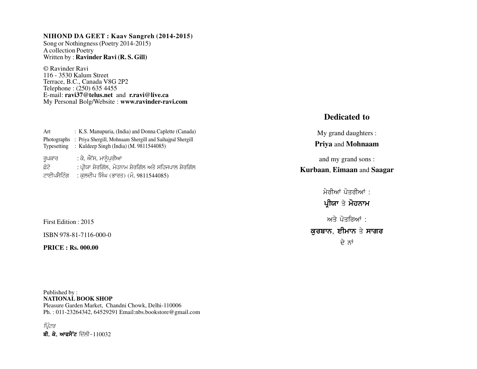#### **NIHOND DA GEET : Kaav Sangreh (2014-2015)**

Song or Nothingness (Poetry 2014-2015) A collection Poetry Written by : **Ravinder Ravi (R. S. Gill)**

© Ravinder Ravi 116 - 3530 Kalum Street Terrace, B.C., Canada V8G 2P2 Telephone : (250) 635 4455 E-mail: **ravi37@telus.net** and **r.ravi@live.ca** My Personal Bolg/Website : **www.ravinder-ravi.com**

| Art         | : K.S. Manupuria, (India) and Donna Caplette (Canada)     |
|-------------|-----------------------------------------------------------|
| Photographs | : Priya Shergill, Mohnaam Shergill and Saihaipal Shergill |
| Typesetting | : Kuldeep Singh (India) (M. 9811544085)                   |
|             |                                                           |
| ਰੁਪਕਾਰ      | : ਕੇ. ਐੱਸ. ਮਾਨੰਪਰੀਆ                                       |
| ਫ਼ੋਟੋ       | : ਪ੍ਰੀਯਾ ਸ਼ੇਰਗਿੱਲ, ਮੋਹਨਾਮ ਸ਼ੇਰਗਿੱਲ ਅਤੇ ਸਹਿਜਪਾਲ ਸ਼ੇਰਗਿੱਲ   |
| ਟਾਈਪਸੈਟਿੰਗ  | : ਕੁਲਦੀਪ ਸਿੰਘ (ਭਾਰਤ) (ਮੋ. 9811544085)                     |

First Edition : 2015

ISBN 978-81-7116-000-0

**PRICE : Rs. 000.00**

Published by : **NATIONAL BOOK SHOP** Pleasure Garden Market, Chandni Chowk, Delhi-110006 Ph. : 011-23264342, 64529291 Email:nbs.bookstore@gmail.com

ਪ੍ਰਿੰਟਰ ਬੀ. ਕੇ. ਆਫਸੈੱਟ ਦਿੱਲੀ-110032

### **Dedicated to**

My grand daughters : **Priya** and **Mohnaam**

and my grand sons : **Kurbaan**, **Eimaan** and **Saagar**

> ਮੇਰੀਆਂ ਪੋਤਰੀਆਂ : ਪ੍ਰੀਯਾ ਤੇ ਮੋਹਨਾਮ ਅਤੇ ਪੋਤਰਿਆਂ : ਕਰਬਾਨ, ਈਮਾਨ ਤੇ ਸਾਗਰ ਦੇ ਨਾਂ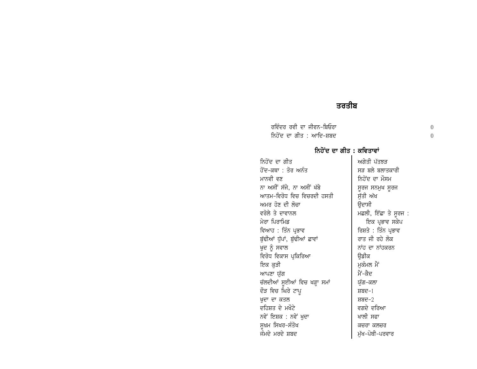## ਤਰਤੀਬ

ਰਵਿੰਦਰ ਰਵੀ ਦਾ ਜੀਵਨ-ਬਿਓਰਾ ਨਿਹੋਂਦ ਦਾ ਗੀਤ : ਆਦਿ-ਸ਼ਬਦ

#### ਨਿਹੋਂਦ ਦਾ ਗੀਤ : ਕਵਿਤਾਵਾਂ

ਨਿਹੋਂਦ ਦਾ ਗੀਤ ਅਗੇਤੀ ਪੱਤਝੜ ਹੋਂਦ-ਕਥਾ : ਤੋਰ ਅਨੰਤ ਸੜ ਬਲੇ ਬਲਾਤਕਾਰੀ ਨਿਹੋਂਦ ਦਾ ਮੌਸਮ ਮਾਨਵੀ ਵਣ ਨਾ ਅਸੀਂ ਸੱਜੇ, ਨਾ ਅਸੀਂ ਖੱਬੇ ਸੂਰਜ ਸਨਮੁਖ ਸੂਰਜ ਆਤਮ-ਵਿਰੋਧ ਵਿਚ ਵਿਚਰਦੀ ਹਸਤੀ ਸੁੱਤੀ ਅੱਖ ਅਮਰ ਹੋਣ ਦੀ ਲੋਚਾ ੳਦਾਸੀ ਵਰੋਲੇ ਤੇ ਦਾਵਾਨਲ ਮਛਲੀ, ਇੱਛਾ ਤੇ ਸੂਰਜ : ਮੇਰਾ ਪਿਰਾਮਿਡ ਇਕ ਪ੍ਰਭਾਵ ਸਕੇਪ ਵਿਆਹ : ਤਿੰਨ ਪ੍ਰਭਾਵ ਰਿਸ਼ਤੇ : ਤਿੰਨ ਪ੍ਰਭਾਵ ਰਾਤ ਜੀ ਰਹੇ ਲੋਕ ਬੁੱਢੀਆਂ ਧੁੱਪਾਂ, ਬੁੱਢੀਆਂ ਛਾਵਾਂ ਖ਼ੁਦ ਨੂੰ ਸਵਾਲ ਨਾਂਹ ਦਾ ਨਾਂਹਕਰਨ ਵਿਰੋਧ ਵਿਕਾਸ ਪ੍ਰਕਿਰਿਆ ੳਡੀਕ ਇਕ ਕੁੜੀ ਮਕੰਮਲ ਮੈਂ ਮੈਂ-ਕੈਦ ਆਪਣਾ ਯੁੱਗ ਚੱਲਦੀਆਂ ਸੁਈਆਂ ਵਿਚ ਖੜ੍ਹਾ ਸਮਾਂ ਯੁੱਗ–ਕਲਾ ਦੌੜ ਵਿਚ ਘਿਰੇ ਟਾਪੁ ਸ਼ਬਦ $-1$ ਖ਼ੁਦਾ ਦਾ ਕਤਲ ਸ਼ਬਦ $-2$ ਦਹਿਸ਼ਤ ਦੇ ਮਖੌਟੇ ਵਗਦੇ ਦਰਿਆ ਨਵੇਂ ਇਸ਼ਕ : ਨਵੇਂ ਖਦਾ ਖਾਲੀ ਸਫਾ ਸਖ਼ਮ ਸਿਖਰ-ਸੰਤੋਖ ਕਚਰਾ ਕਲਚਰ ਜੰਮਦੇ ਮਰਦੇ ਸ਼ਬਦ ਮੱਖ-ਪੋਥੀ-ਪਰਵਾਰ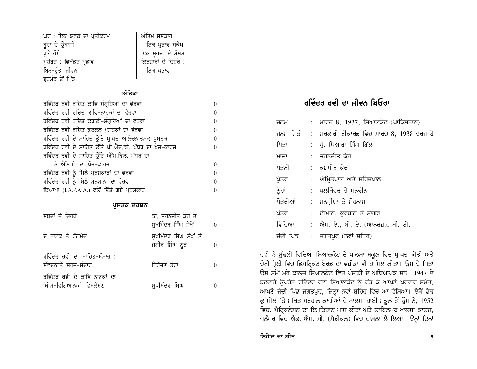| ਘਰ : ਇਕ ਯੁਵਕ ਦਾ ਪ੍ਰਤੀਕਰਮ | ਅੰਤਿਮ ਸਸਕਾਰ :       |
|--------------------------|---------------------|
| ਬੁਹਾ ਦੇ ਉਬਾਸੀ            | ਇਕ ਪ੍ਰਭਾਵ-ਸਕੇਪ      |
| ਰਲੇ ਹੋਏ                  | ਇਕ ਸੂਰਜ, ਦੋ ਮੌਸਮ    |
| ਮੁਹੱਬਤ : ਵਿਖੰਡਤ ਪ੍ਰਭਾਵ   | ਕਿਰਦਾਰਾਂ ਦੇ ਚਿਹਰੇ : |
| ਬਿਨ−ਰੁੱਤਾ ਜੀਵਨ           | ਇਕ ਪ੍ਰਭਾਵ           |
| ਬ੍ਰਹਮੰਡ ਤੋਂ ਪਿੰਡ         |                     |

#### ਅੰਤਿਕਾ

| ਰਵਿੰਦਰ ਰਵੀ ਰਚਿਤ ਕਾਵਿ-ਸੰਗ੍ਰਹਿਆਂ ਦਾ ਵੇਰਵਾ              | 0        |  |  |  |
|------------------------------------------------------|----------|--|--|--|
| ਰਵਿੰਦਰ ਰਵੀ ਰਚਿਤ ਕਾਵਿ-ਨਾਟਕਾਂ ਦਾ ਵੇਰਵਾ                 | $\Omega$ |  |  |  |
| ਰਵਿੰਦਰ ਰਵੀ ਰਚਿਤ ਕਹਾਣੀ-ਸੰਗ੍ਰਹਿਆਂ ਦਾ ਵੇਰਵਾ             | $\Omega$ |  |  |  |
| ਰਵਿੰਦਰ ਰਵੀ ਰਚਿਤ ਫੁਟਕਲ ਪੁਸਤਕਾਂ ਦਾ ਵੇਰਵਾ               | $\Omega$ |  |  |  |
| ਰਵਿੰਦਰ ਰਵੀ ਦੇ ਸਾਹਿਤ ਉੱਤੇ ਪ੍ਰਾਪਤ ਆਲੋਚਨਾਤਮਕ ਪੁਸਤਕਾਂ    | 0        |  |  |  |
| ਰਵਿੰਦਰ ਰਵੀ ਦੇ ਸਾਹਿਤ ਉੱਤੇ ਪੀ.ਐੱਚ.ਡੀ. ਪੱਧਰ ਦਾ ਖੋਜ-ਕਾਰਜ | 0        |  |  |  |
| ਰਵਿੰਦਰ ਰਵੀ ਦੇ ਸਾਹਿਤ ਉੱਤੇ ਐੱਮ.ਫਿਲ. ਪੱਧਰ ਦਾ            |          |  |  |  |
| ਤੇ ਐੱਮ.ਏ. ਦਾ ਖੋਜ-ਕਾਰਜ                                | $\Omega$ |  |  |  |
| ਰਵਿੰਦਰ ਰਵੀ ਨੂੰ ਮਿਲੇ ਪੁਰਸਕਾਰਾਂ ਦਾ ਵੇਰਵਾ               | $\Omega$ |  |  |  |
| ਰਵਿੰਦਰ ਰਵੀ ਨੂੰ ਮਿਲੇ ਸਨਮਾਨਾਂ ਦਾ ਵੇਰਵਾ                 | $\Omega$ |  |  |  |
| ਇਆਪਾ (I.A.P.A.A.) ਵਲੋਂ ਦਿੱਤੇ ਗਏ ਪੁਰਸਕਾਰ<br>$\Omega$  |          |  |  |  |

#### ਪੁਸਤਕ ਦਰਸ਼ਨ

| ਸ਼ਬਦਾਂ ਦੇ ਚਿਹਰੇ                                         | ਡਾ. ਸ਼ਰਨਜੀਤ ਕੌਰ ਤੇ<br>ਸੁਖਮਿੰਦਰ ਸਿੰਘ ਸੇਖੋਂ |  |
|---------------------------------------------------------|-------------------------------------------|--|
| ਦੋ ਨਾਟਕ ਤੇ ਰੰਗਮੰਚ                                       | ਸਖਮਿੰਦਰ ਸਿੰਘ ਸੇਖੋਂ ਤੇ<br>ਜਗੀਰ ਸਿੰਘ ਨੂਰ    |  |
| ਰਵਿੰਦਰ ਰਵੀ ਦਾ ਸਾਹਿਤ-ਸੰਸਾਰ :<br>ਸੰਵੇਦਨਾ ਤੇ ਸੁਹਜ-ਸੰਚਾਰ    | ਨਿਰੰਜਣ ਬੋਹਾ                               |  |
| ਰਵਿੰਦਰ ਰਵੀ ਦੇ ਕਾਵਿ-ਨਾਟਕਾਂ ਦਾ<br>'ਥੀਮ–ਵਿਗਿਆਨਕ' ਵਿਸ਼ਲੇਸ਼ਣ | ਸਖਮਿੰਦਰ ਸਿੰਘ                              |  |

# ਰਵਿੰਦਰ ਰਵੀ ਦਾ ਜੀਵਨ ਬਿਓਰਾ

| ਜਨਮ       | : ਮਾਰਚ 8, 1937, ਸਿਆਲਕੋਟ (ਪਾਕਿਸਤਾਨ)               |
|-----------|--------------------------------------------------|
|           | ਜਨਮ-ਮਿਤੀ : ਸਰਕਾਰੀ ਰੀਕਾਰਡ ਵਿਚ ਮਾਰਚ 8, 1938 ਦਰਜ ਹੈ |
| ਪਿਤਾ      | : ਪ੍ਰੋ. ਪਿਆਰਾ ਸਿੰਘ ਗਿੱਲ                          |
| ਮਾਤਾ      | : ਚਰਨਜੀਤ ਕੌਰ                                     |
| ਪਤਨੀ      | : ਕਸ਼ਮੀਰ ਕੌਰ                                     |
| ਪੱਤਰ      | : ਅੰਮ੍ਰਿਤਪਾਲ ਅਤੇ ਸਹਿਜਪਾਲ                         |
| ਨੂੰਹਾਂ    | : ਪਲਬਿੰਦਰ ਤੇ ਮਨਵੀਨ                               |
| ਪੋਤਰੀਆਂ   | : ਮਨਪ੍ਰੀਯਾ ਤੇ ਮੋਹਨਾਮ                             |
| ਪੋਤਰੇ     | :   ਈਮਾਨ, ਕਰਬਾਨ ਤੇ ਸਾਗਰ                          |
| ਵਿੱਦਿਆ    | : ਐਮ. ਏ., ਬੀ. ਏ. (ਆਨਰਜ਼), ਬੀ. ਟੀ.                |
| ਜੱਦੀ ਪਿੰਡ | :    ਜਗਤਪੁਰ (ਨਵਾਂ  ਸ਼ਹਿਰ)                        |

ਰਵੀ ਨੇ ਮੁੱਢਲੀ ਵਿੱਦਿਆ ਸਿਆਲਕੋਟ ਦੇ ਖਾਲਸਾ ਸਕੂਲ ਵਿਚ ਪ੍ਰਾਪਤ ਕੀਤੀ ਅਤੇ ਚੌਥੀ ਸ਼੍ਰੇਣੀ ਵਿਚ ਡਿਸਟ੍ਰਿਕਟ ਬੋਰਡ ਦਾ ਵਜ਼ੀਫ਼ਾ ਵੀ ਹਾਸਿਲ ਕੀਤਾ। ਉਸ ਦੇ ਪਿਤਾ ਉਸ ਸਮੇਂ ਮਰੇ ਕਾਲਜ ਸਿਆਲਕੋਟ ਵਿਚ ਪੰਜਾਬੀ ਦੇ ਅਧਿਆਪਕ ਸਨ। 1947 ਦੇ ਬਟਵਾਰੇ ਉਪਰੰਤ ਰਵਿੰਦਰ ਰਵੀ ਸਿਆਲਕੋਟ ਨੂੰ ਛੱਡ ਕੇ ਆਪਣੇ ਪਰਵਾਰ ਸਮੇਤ, ਆਪਣੇ ਜੱਦੀ ਪਿੰਡ ਜਗਤਪੁਰ, ਜ਼ਿਲ੍ਹਾ ਨਵਾਂ ਸ਼ਹਿਰ ਵਿਚ ਆ ਵੱਸਿਆ। ਏਥੋਂ ਡੇਢ ਕੁ ਮੀਲ 'ਤੇ ਸਥਿਤ ਸਰਹਾਲ ਕਾਜ਼ੀਆਂ ਦੇ ਖਾਲਸਾ ਹਾਈ ਸਕੂਲ ਤੋਂ ਉਸ ਨੇ, 1952 ਵਿਚ, ਮੈਟ੍ਰਿਕੁਲੇਸ਼ਨ ਦਾ ਇਮਤਿਹਾਨ ਪਾਸ ਕੀਤਾ ਅਤੇ ਲਾਇਲਪੁਰ ਖਾਲਸਾ ਕਾਲਜ, ਜਲੰਧਰ ਵਿਚ ਐਫ. ਐਸ. ਸੀ. (ਮੈਡੀਕਲ) ਵਿਚ ਦਾਖ਼ਲਾ ਲੈ ਲਿਆ। ਉਨ੍ਹਾਂ ਦਿਨਾਂ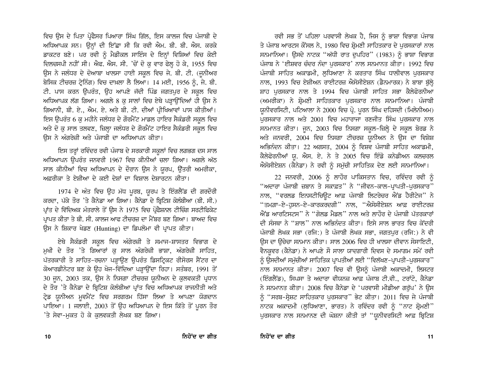ਵਿਚ ਉਸ ਦੇ ਪਿਤਾ ਪ੍ਰੋਫੈਸਰ ਪਿਆਰਾ ਸਿੰਘ ਗਿੱਲ, ਇਸ ਕਾਲਜ ਵਿਚ ਪੰਜਾਬੀ ਦੇ ਅਧਿਆਪਕ ਸਨ। ਉਨ੍ਹਾਂ ਦੀ ਇੱਛਾ ਸੀ ਕਿ ਰਵੀ ਐਮ. ਬੀ. ਬੀ. ਐਸ. ਕਰਕੇ ਡਾਕਟਰ ਬਣੇ। ਪਰ ਰਵੀ ਨੂੰ ਮੈਡੀਕਲ ਸਾਇੰਸ ਦੇ ਇਨ੍ਹਾਂ ਵਿਸ਼ਿਆਂ ਵਿਚ ਕੋਈ ਦਿਲਚਸਪੀ ਨਹੀਂ ਸੀ। ਐਫ. ਐਸ. ਸੀ. 'ਚੋਂ ਦੋ ਕ ਵਾਰ ਫੇਲ ਹੋ ਕੇ, 1955 ਵਿਚ ਉਸ ਨੇ ਜਲੰਧਰ ਦੇ ਦੋਆਬਾ ਖਾਲਸਾ ਹਾਈ ਸਕੂਲ ਵਿਚ ਜੇ. ਬੀ. ਟੀ. (ਜੂਨੀਅਰ ਬੇਸਿਕ ਟੀਚਰਜ਼ ਟ੍ਰੇਨਿੰਗ) ਵਿਚ ਦਾਖ਼ਲਾ ਲੈ ਲਿਆ। 14 ਮਈ, 1956 ਨੂੰ, ਜੇ. ਬੀ. ਟੀ. ਪਾਸ ਕਰਨ ਉਪਰੰਤ, ਉਹ ਆਪਣੇ ਜੱਦੀ ਪਿੰਡ ਜਗਤਪੁਰ ਦੇ ਸਕੂਲ ਵਿਚ ਅਧਿਆਪਕ ਲੱਗ ਗਿਆ। ਅਗਲੇ 8 ਕ ਸਾਲਾਂ ਵਿਚ ਏਥੇ ਪੜਾਉਂਦਿਆਂ ਹੀ ਉਸ ਨੇ ਗਿਆਨੀ, ਬੀ. ਏ., ਐਮ. ਏ. ਅਤੇ ਬੀ. ਟੀ. ਦੀਆਂ ਪ੍ਰੀਖਿਆਵਾਂ ਪਾਸ ਕੀਤੀਆਂ। ਇਸ ਉਪਰੰਤ 6 ਕੁ ਮਹੀਨੇ ਜਲੰਧਰ ਦੇ ਗੋਰਮੈਂਟ ਮਾਡਲ ਹਾਇਰ ਸੈਕੰਡਰੀ ਸਕੂਲ ਵਿਚ ਅਤੇ ਦੋ ਕੁ ਸਾਲ ਤਲਵਣ, ਜ਼ਿਲ੍ਹਾ ਜਲੰਧਰ ਦੇ ਗੌਰਮੈਂਟ ਹਾਇਰ ਸੈਕੰਡਰੀ ਸਕੂਲ ਵਿਚ ਉਸ ਨੇ ਅੰਗਰੇਜ਼ੀ ਅਤੇ ਪੰਜਾਬੀ ਦਾ ਅਧਿਆਪਨ ਕੀਤਾ।

ਇਸ ਤਰ੍ਹਾਂ ਰਵਿੰਦਰ ਰਵੀ ਪੰਜਾਬ ਦੇ ਸਰਕਾਰੀ ਸਕੂਲਾਂ ਵਿਚ ਲਗਭਗ ਦਸ ਸਾਲ ਅਧਿਆਪਨ ਉਪਰੰਤ ਜਨਵਰੀ 1967 ਵਿਚ ਕੀਨੀਆਂ ਚਲਾ ਗਿਆ। ਅਗਲੇ ਅੱਠ ਸਾਲ ਕੀਨੀਆਂ ਵਿਚ ਅਧਿਆਪਨ ਦੇ ਦੌਰਾਨ ਉਸ ਨੇ ਯੂਰਪ, ਉੱਤਰੀ ਅਮਰੀਕਾ, ਅਫ਼ਰੀਕਾ ਤੇ ਏਸ਼ੀਆ ਦੇ ਕਈ ਦੇਸ਼ਾਂ ਦਾ ਵਿਸ਼ਾਲ ਦੇਸ਼ਾਰਟਨ ਕੀਤਾ।

1974 ਦੇ ਅੰਤ ਵਿਚ ਉਹ ਮੱਧ ਪੂਰਬ, ਯੂਰਪ ਤੇ ਇੰਗਲੈਂਡ ਦੀ ਗਰਦੌਰੀ ਕਰਦਾ, ਪੱਕੇ ਤੌਰ 'ਤੇ ਕੈਨੇਡਾ ਆ ਗਿਆ। ਕੈਨੇਡਾ ਦੇ ਬ੍ਰਿਟਿਸ਼ ਕੋਲੰਬੀਆ (ਬੀ. ਸੀ.) ਪ੍ਰਾਂਤ ਦੇ ਵਿੱਦਿਅਕ ਮੰਤਰਾਲੇ ਤੋਂ ਉਸ ਨੇ 1975 ਵਿਚ ਪ੍ਰੋਫੈਸ਼ਨਲ ਟੀਚਿੰਗ ਸਰਟੀਫਿਕੇਟ ਪ੍ਰਾਪਤ ਕੀਤਾ ਤੇ ਬੀ. ਸੀ. ਕਾਲਜ ਆਫ ਟੀਚਰਜ਼ ਦਾ ਮੈਂਬਰ ਬਣ ਗਿਆ। ਬਾਅਦ ਵਿਚ ਉਸ ਨੇ ਸ਼ਿਕਾਰ ਖੇਡਣ (Hunting) ਦਾ ਡਿਪਲੋਮਾ ਵੀ ਪ੍ਰਾਪਤ ਕੀਤਾ।

ਏਥੇ ਸੈਕੰਡਰੀ ਸਕੂਲ ਵਿਚ ਅੰਗੇਰਜ਼ੀ ਤੇ ਸਮਾਜ-ਸ਼ਾਸਤਰ ਵਿਭਾਗ ਦੇ ਮੁਖੀ ਦੇ ਤੌਰ 'ਤੇ ਗਿਆਰਾਂ ਕੁ ਸਾਲ ਅੰਗਰੇਜ਼ੀ ਭਾਸ਼ਾ, ਅੰਗਰੇਜ਼ੀ ਸਾਹਿਤ, ਪੱਤਰਕਾਰੀ ਤੇ ਸਾਹਿਤ-ਰਚਨਾ ਪੜ੍ਹਾੳਣ ੳਪਰੰਤ ਡਿਸਟ੍ਰਿਕਟ ਰੀਸੋਰਸ ਸੈਂਟਰ ਦਾ ਕੋਆਰਡੀਨੇਟਰ ਬਣ ਕੇ ਉਹ ਖੋਜ-ਵਿੱਦਿਆ ਪੜ੍ਹਾਉਂਦਾ ਰਿਹਾ। ਸਤੰਬਰ, 1991 ਤੋਂ 30 ਜੂਨ, 2003 ਤਕ, ਉਸ ਨੇ ਨਿਸਗਾ ਟੀਚਰਜ਼ ਯੂਨੀਅਨ ਦੇ ਕੁਲਵਕਤੀ ਪ੍ਰਧਾਨ ਦੇ ਤੌਰ 'ਤੇ ਕੈਨੇਡਾ ਦੇ ਬ੍ਰਿਟਿਸ਼ ਕੋਲੰਬੀਆ ਪ੍ਰਾਂਤ ਵਿਚ ਅਧਿਆਪਕ ਰਾਜਨੀਤੀ ਅਤੇ ਟ੍ਰੇਡ ਯੂਨੀਅਨ ਮੁਵਮੈਂਟ ਵਿਚ ਸਰਗਰਮ ਹਿੱਸਾ ਲਿਆ ਤੇ ਆਪਣਾ ਯੋਗਦਾਨ ਪਾਇਆ। 1 ਜਲਾਈ, 2003 ਤੋਂ ਉਹ ਅਧਿਆਪਨ ਦੇ ਇਸ ਕਿੱਤੇ ਤੋਂ ਪੂਰਨ ਤੌਰ 'ਤੇ ਸੇਵਾ-ਮੁਕਤ ਹੋ ਕੇ ਕੁਲਵਕਤੀ ਲੇਖਕ ਬਣ ਗਿਆ।

ਰਵੀ ਸਭ ਤੋਂ ਪਹਿਲਾ ਪਰਵਾਸੀ ਲੇਖਕ ਹੈ, ਜਿਸ ਨੂੰ ਭਾਸ਼ਾ ਵਿਭਾਗ ਪੰਜਾਬ ਤੇ ਪੰਜਾਬ ਆਰਟਸ ਕੌਂਸਲ ਨੇ, 1980 ਵਿਚ ਸ਼੍ਰੋਮਣੀ ਸਾਹਿਤਕਾਰ ਦੇ ਪੁਰਸਕਾਰਾਂ ਨਾਲ ਸਨਮਾਨਿਆ। ਉਸਦੇ ਨਾਟਕ "ਅੱਧੀ ਰਾਤ ਦਪਹਿਰ" (1983) ਨੂੰ ਭਾਸ਼ਾ ਵਿਭਾਗ ਪੰਜਾਬ ਨੇ 'ਈਸ਼ਵਰ ਚੰਦਰ ਨੰਦਾ ਪਰਸਕਾਰ' ਨਾਲ ਸਨਮਾਨਤ ਕੀਤਾ। 1992 ਵਿਚ ਪੰਜਾਬੀ ਸਾਹਿਤ ਅਕਾਡਮੀ, ਲੁਧਿਆਣਾ ਨੇ ਕਰਤਾਰ ਸਿੰਘ ਧਾਲੀਵਾਲ ਪੁਰਸਕਾਰ ਨਾਲ, 1993 ਵਿਚ ਏਸ਼ੀਅਨ ਰਾਈਟਰਜ਼ ਐਸੋਸੀਏਸ਼ਨ (ਡੈਨਮਾਰਕ) ਨੇ ਬਾਬਾ ਬੁੱਲ੍ਹੇ ਸ਼ਾਹ ਪਰਸਕਾਰ ਨਾਲ ਤੇ 1994 ਵਿਚ ਪੰਜਾਬੀ ਸਾਹਿਤ ਸਭਾ ਕੈਲੇਫੋਰਨੀਆ (ਅਮਰੀਕਾ) ਨੇ ਸ਼ੋਮਣੀ ਸਾਹਿਤਕਾਰ ਪਰਸਕਾਰ ਨਾਲ ਸਨਮਾਨਿਆ। ਪੰਜਾਬੀ ਯੂਨੀਵਰਸਿਟੀ, ਪਟਿਆਲਾ ਨੇ 2000 ਵਿਚ ਪ੍ਰੋ. ਪੂਰਨ ਸਿੰਘ ਦਹਿਸਦੀ (ਮਿਲੇਨੀਅਮ) ਪਰਸਕਾਰ ਨਾਲ ਅਤੇ 2001 ਵਿਚ ਮਹਾਰਾਜਾ ਰਣਜੀਤ ਸਿੰਘ ਪਰਸਕਾਰ ਨਾਲ ਸਨਮਾਨਤ ਕੀਤਾ। ਜੂਨ, 2003 ਵਿਚ ਨਿਸਗਾ ਸਕੂਲ-ਜ਼ਿਲ੍ਹੇ ਦੇ ਸਕੂਲ ਬੋਰਡ ਨੇ ਅਤੇ ਜਨਵਰੀ, 2004 ਵਿਚ ਨਿਸਗਾ ਟੀਚਰਜ਼ ਯੂਨੀਅਨ ਨੇ ਉਸ ਦਾ ਵਿਸ਼ੇਸ਼ ਅਭਿਨੰਦਨ ਕੀਤਾ। 22 ਅਗਸਤ, 2004 ਨੂੰ ਵਿਸ਼ਵ ਪੰਜਾਬੀ ਸਾਹਿਤ ਅਕਾਡਮੀ, ਕੈਲੇਫੋਰਨੀਆਂ ਯੂ. ਐਸ. ਏ. ਨੇ ਤੇ 2005 ਵਿਚ ਇੰਡੋ ਕਨੇਡੀਅਨ ਕਲਚਰਲ ਐਸੋਸੀਏਸ਼ਨ (ਕੈਨੇਡਾ) ਨੇ ਰਵੀ ਨੂੰ ਸਮੱਚੀ ਸਾਹਿਤਿਕ ਦੇਣ ਲਈ ਸਨਮਾਨਿਆ।

22 ਜਨਵਰੀ, 2006 ਨੂੰ ਲਾਹੌਰ ਪਾਕਿਸਤਾਨ ਵਿਚ, ਰਵਿੰਦਰ ਰਵੀ ਨੂੰ "ਅਦਾਰਾ ਪੰਜਾਬੀ ਜ਼ਬਾਨ ਤੇ ਸਕਾਫ਼ਤ" ਨੇ "ਜੀਵਨ-ਕਾਲ-ਪ੍ਰਾਪਤੀ-ਪਰਸਕਾਰ" ਨਾਲ, "ਵਰਲਡ ਇਨਸਟੀਚਿਊਟ ਆਫ਼ ਪੰਜਾਬੀ ਲਿਟਰੇਚਰ ਐਂਡ ਹੈਰੀਟੇਜ" ਨੇ "ਤਮਗ਼ਾ-ਏ-ਹੁਸਨ-ਏ-ਕਾਰਕਰਦਗੀ'' ਨਾਲ, "ਐਸੋਸੀਏਸ਼ਨ ਆਫ਼ ਰਾਈਟਰਜ਼ ਐਂਡ ਆਰਟਿਸਟਸ" ਨੇ "ਗੋਲਡ ਮੈਡਲ" ਨਾਲ ਅਤੇ ਲਾਹੌਰ ਦੇ ਪੰਜਾਬੀ ਪੱਤਰਕਾਰਾਂ ਦੀ ਸੰਸਥਾ ਨੇ ''ਸ਼ਾਲ'' ਨਾਲ ਅਭਿਨੰਦਤ ਕੀਤਾ। ਇਸੇ ਸਾਲ ਭਾਰਤ ਵਿਚ ਕੇਂਦਰੀ ਪੰਜਾਬੀ ਲੇਖਕ ਸਭਾ (ਰਜਿ:) ਤੇ ਪੰਜਾਬੀ ਲੇਖਕ ਸਭਾ, ਜਗਤਪਰ (ਰਜਿ:) ਨੇ ਵੀ ਉਸ ਦਾ ਉਚੇਚਾ ਸਨਮਾਨ ਕੀਤਾ। ਸਾਲ 2006 ਵਿਚ ਹੀ ਖਾਲਸਾ ਦੀਵਾਨ ਸੋਸਾਇਟੀ, ਵੈਨਕਵਰ (ਕੈਨੇਡਾ) ਨੇ ਆਪਣੇ ਸੌ ਸਾਲਾ ਯਾਦਗਾਰੀ ਦਿਵਸ ਦੇ ਸਮਾਗਮ ਸਮੇਂ ਰਵੀ ਨੂੰ ਉਸਦੀਆਂ ਸਮੁੱਚੀਆਂ ਸਾਹਿਤਿਕ ਪ੍ਰਾਪਤੀਆਂ ਲਈ "ਵਿਲੱਖਣ-ਪ੍ਰਾਪਤੀ-ਪੁਰਸਕਾਰ" ਨਾਲ ਸਨਮਾਨਤ ਕੀਤਾ। 2007 ਵਿਚ ਵੀ ਉਸਨੂੰ ਪੰਜਾਬੀ ਅਕਾਦਮੀ, ਲਿਸਟਰ (ਇੰਗਲੈਂਡ), ਸਿਪਸਾ ਤੇ ਅਦਾਰਾ ਵੀਯਨਜ਼ ਆਫ਼ ਪੰਜਾਬ ਟੀ.ਵੀ., ਟਰਾਂਟੋ, ਕੈਨੇਡਾ ਨੇ ਸਨਮਾਨਤ ਕੀਤਾ। 2008 ਵਿਚ ਕੈਨੇਡਾ ਦੇ 'ਪਰਵਾਸੀ ਮੀਡੀਆ ਗਰੱਪ' ਨੇ ਉਸ ਨੂੰ "ਸਰਬ-ਸ੍ਰੇਸ਼ਟ ਸਾਹਿਤਕਾਰ ਪੁਰਸਕਾਰ" ਭੇਟ ਕੀਤਾ। 2011 ਵਿਚ ਜੇ ਪੰਜਾਬੀ ਨਾਟਕ ਅਕਾਦਮੀ (ਲੁਧਿਆਣਾ, ਭਾਰਤ) ਨੇ ਰਵਿੰਦਰ ਰਵੀ ਨੂੰ "ਨਾਟ ਸ਼੍ਰੋਮਣੀ" ਪੁਰਸਕਾਰ ਨਾਲ ਸਨਮਾਨਣ ਦੀ ਘੋਸ਼ਨਾ ਕੀਤੀ ਤਾਂ "ਯੂਨੀਵਰਸਿਟੀ ਆਫ਼ ਬ੍ਰਿਟਿਸ਼